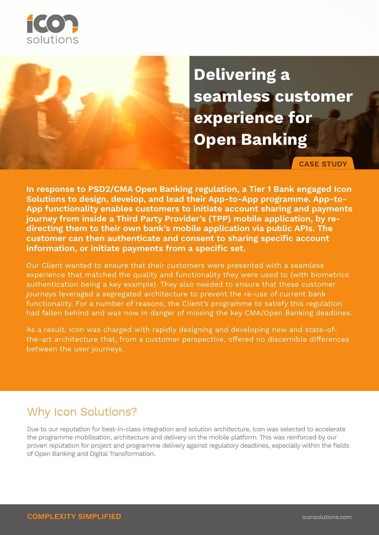

**Delivering a seamless customer experience for Open Banking**

**CASE STUDY**

**In response to PSD2/CMA Open Banking regulation, a Tier 1 Bank engaged Icon Solutions to design, develop, and lead their App-to-App programme. App-to-App functionality enables customers to initiate account sharing and payments journey from inside a Third Party Provider's (TPP) mobile application, by redirecting them to their own bank's mobile application via public APIs. The customer can then authenticate and consent to sharing specific account information, or initiate payments from a specific set.** 

Our Client wanted to ensure that their customers were presented with a seamless experience that matched the quality and functionality they were used to (with biometrics authentication being a key example). They also needed to ensure that these customer journeys leveraged a segregated architecture to prevent the re-use of current bank functionality. For a number of reasons, the Client's programme to satisfy this regulation had fallen behind and was now in danger of missing the key CMA/Open Banking deadlines.

As a result, Icon was charged with rapidly designing and developing new and state-ofthe-art architecture that, from a customer perspective, offered no discernible differences between the user journeys.

## Why Icon Solutions?

Due to our reputation for best-in-class integration and solution architecture, Icon was selected to accelerate the programme mobilisation, architecture and delivery on the mobile platform. This was reinforced by our proven reputation for project and programme delivery against regulatory deadlines, especially within the fields of Open Banking and Digital Transformation.